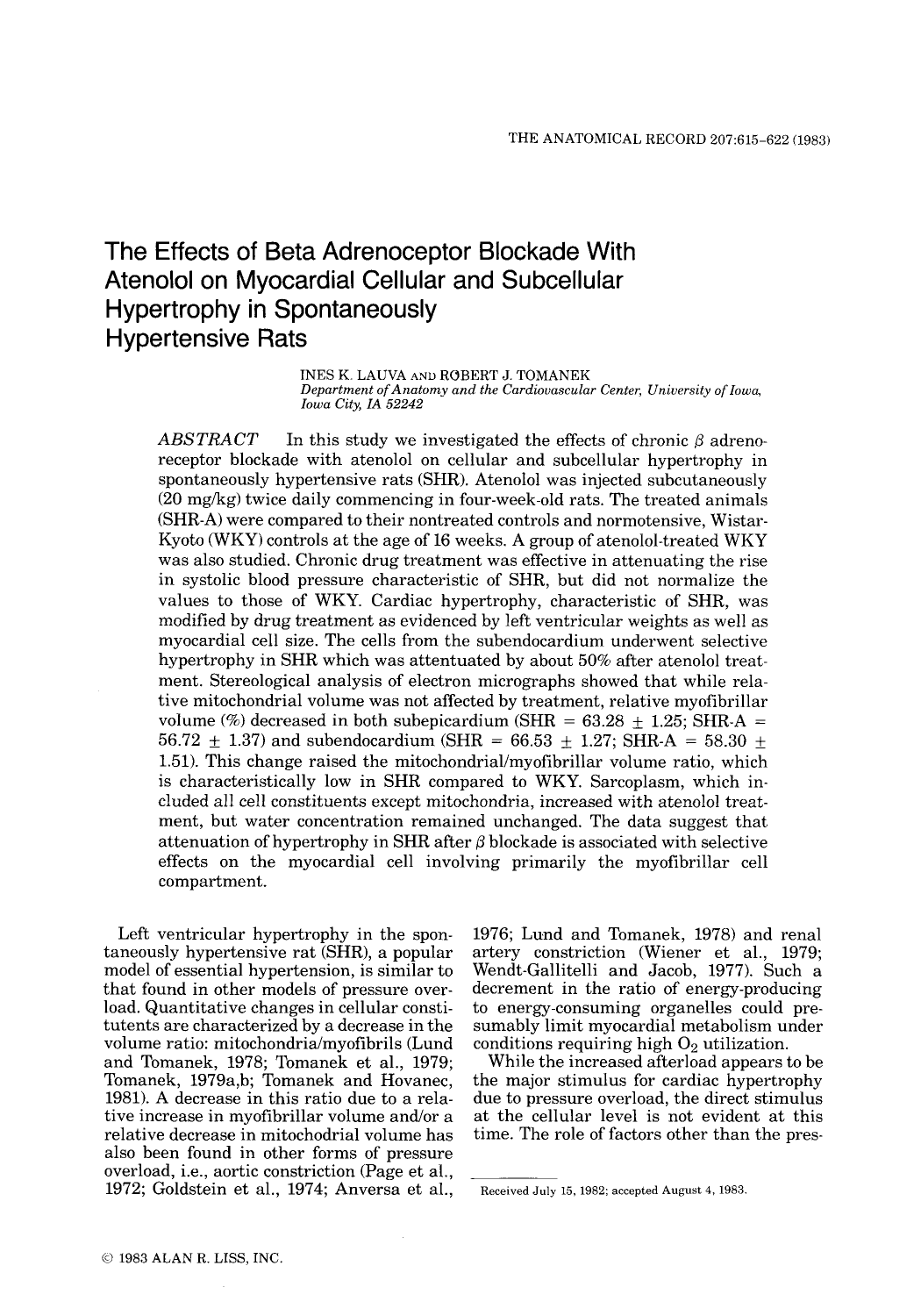# The Effects of Beta Adrenoceptor Blockade With Atenolol on Myocardial Cellular and Subcellular Hypertrophy in Spontaneously Hypertensive Rats

INES K. LAUVA **AND** ROBERT J. TOMANEK *Department of Anatomy and the Cardiovascular Center, University of Iowa, Iowa City, IA 52242* 

 $ABSTRACT$  In this study we investigated the effects of chronic  $\beta$  adrenoreceptor blockade with atenolol on cellular and subcellular hypertrophy in spontaneously hypertensive rats (SHR). Atenolol was injected subcutaneously (20 mg/kg) twice daily commencing in four-week-old rats. The treated animals (SHR-A) were compared to their nontreated controls and normotensive, Wistar-Kyoto (WKY) controls at the age of 16 weeks. A group of atenolol-treated WKY was also studied. Chronic drug treatment was effective in attenuating the rise in systolic blood pressure characteristic of SHR, but did not normalize the values to those of WKY. Cardiac hypertrophy, characteristic of SHR, was modified by drug treatment as evidenced by left ventricular weights as well as myocardial cell size. The cells from the subendocardium underwent selective hypertrophy in SHR which was attentuated by about 50% after atenolol treatment. Stereological analysis of electron micrographs showed that while relative mitochondria1 volume was not affected by treatment, relative myofibrillar volume (%) decreased in both subepicardium (SHR =  $63.28 \pm 1.25$ ; SHR-A =  $56.72 \pm 1.37$ ) and subendocardium (SHR = 66.53  $\pm$  1.27; SHR-A = 58.30 + 1.51). This change raised the mitochondrial/myofibrillar volume ratio, which is characteristically low in SHR compared to WKY. Sarcoplasm, which included all cell constituents except mitochondria, increased with atenolol treatment, but water concentration remained unchanged. The data suggest that attenuation of hypertrophy in SHR after  $\beta$  blockade is associated with selective effects on the myocardial cell involving primarily the myofibrillar cell compartment.

Left ventricular hypertrophy in the spontaneously hypertensive rat (SHR), a popular model of essential hypertension, is similar to that found in other models of pressure overload. Quantitative changes in cellular constitutents are characterized by a decrease in the volume ratio: mitochondria/myofibrils (Lund and Tomanek, 1978; Tomanek et al., 1979; Tomanek, 1979a,b; Tomanek and Hovanec, 1981). **A** decrease in this ratio due to a relative increase in myofibrillar volume and/or a relative decrease in mitochodrial volume has also been found in other forms of pressure overload, i.e., aortic constriction (Page et al., 1972; Goldstein et al., 1974; Anversa et al.,

1976; Lund and Tomanek, 1978) and renal artery constriction (Wiener et al., 1979; Wendt-Gallitelli and Jacob, 1977). Such a decrement in the ratio of energy-producing to energy-consuming organelles could presumably limit myocardial metabolism under conditions requiring high *02* utilization.

While the increased afterload appears to be the major stimulus for cardiac hypertrophy due to pressure overload, the direct stimulus at the cellular level is not evident at this time. The role of factors other than the pres-

Received July 15, 1982; accepted August 4, 1983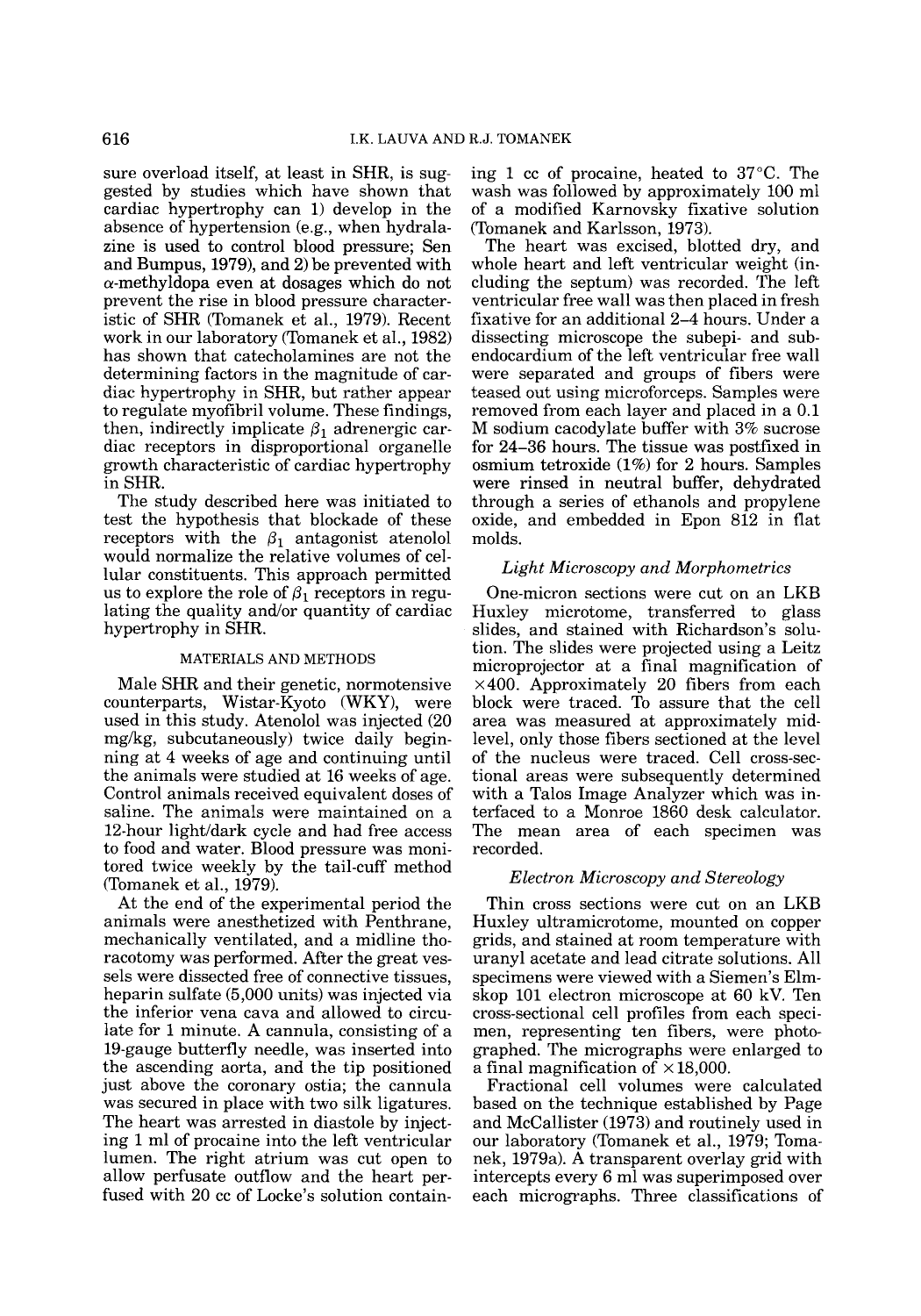sure overload itself, at least in SHR, is suggested by studies which have shown that cardiac hypertrophy can 1) develop in the absence of hypertension (e.g., when hydralazine is used to control blood pressure; Sen and Bumpus, 1979), and 2) be prevented with  $\alpha$ -methyldopa even at dosages which do not prevent the rise in blood pressure characteristic of SHR (Tomanek et al., 1979). Recent work in our laboratory (Tomanek et al., 1982) has shown that catecholamines are not the determining factors in the magnitude of cardiac hypertrophy in SHR, but rather appear to regulate myofibril volume. These findings, then, indirectly implicate  $\beta_1$  adrenergic cardiac receptors in disproportional organelle growth characteristic of cardiac hypertrophy in SHR.

The study described here was initiated to test the hypothesis that blockade of these receptors with the  $\beta_1$  antagonist atenolol would normalize the relative volumes of cellular constituents. This approach permitted us to explore the role of  $\beta_1$  receptors in regulating the quality and/or quantity of cardiac hypertrophy in SHR.

### MATERIALS AND METHODS

Male SHR and their genetic, normotensive counterparts, Wistar-Kyoto (WKY), were used in this study. Atenolol was injected (20 mg/kg, subcutaneously) twice daily beginning at 4 weeks of age and continuing until the animals were studied at 16 weeks of age. Control animals received equivalent doses of saline. The animals were maintained on a 12-hour light/dark cycle and had free access to food and water. Blood pressure was monitored twice weekly by the tail-cuff method (Tomanek et al., 1979).

At the end of the experimental period the animals were anesthetized with Penthrane, mechanically ventilated, and a midline thoracotomy was performed. After the great vessels were dissected free of connective tissues, heparin sulfate (5,000 units) was injected via the inferior vena cava and allowed to circulate for 1 minute. A cannula, consisting of a 19-gauge butterfly needle, was inserted into the ascending aorta, and the tip positioned just above the coronary ostia; the cannula was secured in place with two silk ligatures. The heart was arrested in diastole by injecting 1 ml of procaine into the left ventricular lumen. The right atrium was cut open to allow perfusate outflow and the heart perfused with 20 cc of Locke's solution containing 1 cc of procaine, heated to 37°C. The wash was followed by approximately 100 ml of a modified Karnovsky fixative solution (Tomanek and Karlsson, 1973).

The heart was excised, blotted dry, and whole heart and left ventricular weight (including the septum) was recorded. The left ventricular free wall was then placed in fresh fixative for an additional 2-4 hours. Under a dissecting microscope the subepi- and subendocardium of the left ventricular free wall were separated and groups of fibers were teased out using microforceps. Samples were removed from each layer and placed in a 0.1 M sodium cacodylate buffer with **3%** sucrose for **24-36** hours. The tissue was postfixed in osmium tetroxide (1%) for 2 hours. Samples were rinsed in neutral buffer, dehydrated through a series of ethanols and propylene oxide, and embedded in Epon 812 in flat molds.

# *Light Microscopy and Morphometrics*

One-micron sections were cut on an LKB Huxley microtome, transferred to glass slides, and stained with Richardson's solution. The slides were projected using a Leitz microprojector at a final magnification of  $\times$ 400. Approximately 20 fibers from each block were traced. To assure that the cell area was measured at approximately midlevel, only those fibers sectioned at the level of the nucleus were traced. Cell cross-sectional areas were subsequently determined with a Talos Image Analyzer which was interfaced to a Monroe 1860 desk calculator. The mean area of each specimen was recorded.

## *Electron Microscopy and Stereology*

Thin cross sections were cut on an LKB Huxley ultramicrotome, mounted on copper grids, and stained at room temperature with uranyl acetate and lead citrate solutions. All specimens were viewed with a Siemen's Elmskop 101 electron microscope at 60 kV. Ten cross-sectional cell profiles from each specimen, representing ten fibers, were photographed. The micrographs were enlarged to a final magnification of  $\times$ 18,000.

Fractional cell volumes were calculated based on the technique established by Page and McCallister (1973) and routinely used in our laboratory (Tomanek et al., 1979; Tomanek, 1979a). A transparent overlay grid with intercepts every 6 ml was superimposed over each micrographs. Three classifications of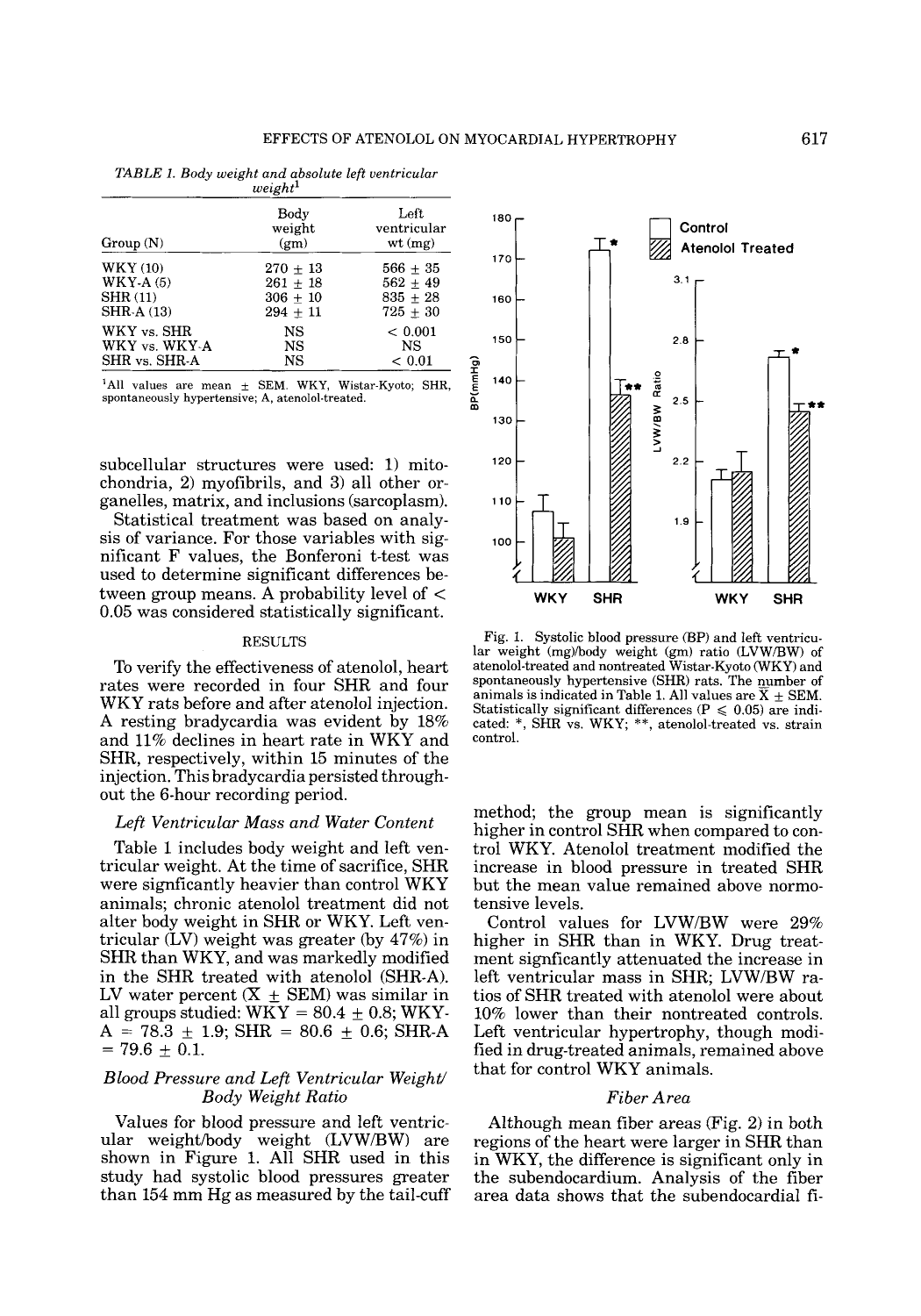| weignt~         |                                     |                               |  |
|-----------------|-------------------------------------|-------------------------------|--|
| Group(N)        | Body<br>weight<br>(g <sub>m</sub> ) | Left<br>ventricular<br>wt(mg) |  |
| <b>WKY (10)</b> | $270 \pm 13$                        | $566 + 35$                    |  |
| $WKY-A(5)$      | $261 + 18$                          | $562 + 49$                    |  |
| <b>SHR (11)</b> | $306 + 10$                          | $835 + 28$                    |  |
| SHR-A (13)      | $294 + 11$                          | $725 + 30$                    |  |
| WKY vs. SHR     | NS                                  | ${}< 0.001$                   |  |
| WKY vs. WKY-A   | NS                                  | NS                            |  |
| SHR vs. SHR-A   | NS                                  | ${}< 0.01$                    |  |

TABLE *1.* Body weight and absolute left ventricular weight $^1$ 

<sup>1</sup>All values are mean  $\pm$  SEM. WKY, Wistar-Kyoto; SHR, spontaneously hypertensive; A, atenolol-treated.

subcellular structures were used: 1) mitochondria, **2)** myofibrils, and 3) all other organelles, matrix, and inclusions (sarcoplasm).

Statistical treatment was based on analysis of variance. For those variables with significant F values, the Bonferoni t-test was used to determine significant differences between group means. A probability level of < 0.05 was considered statistically significant.

#### RESULTS

To verify the effectiveness of atenolol, heart rates were recorded in four SHR and four WKY rats before and after atenolol injection. A resting bradycardia was evident by 18% and 11% declines in heart rate in WKY and SHR, respectively, within 15 minutes of the injection. This bradycardia persisted throughout the 6-hour recording period.

# *Left Ventricular Mass and Water Content*

Table 1 includes body weight and left ventricular weight. At the time of sacrifice, SHR were signficantly heavier than control WKY animals; chronic atenolol treatment did not alter body weight in SHR or WKY. Left ventricular (LV) weight was greater (by 47%) in SHR than WKY, and was markedly modified in the SHR treated with atenolol (SHR-A). LV water percent  $(X \pm SEM)$  was similar in all groups studied:  $WKY = 80.4 \pm 0.8$ ; WKY- $A = 78.3 \pm 1.9$ ; SHR = 80.6  $\pm$  0.6; SHR-A  $= 79.6 \pm 0.1.$ 

# *Blood Pressure and Left Ventricular Weight/ Body Weight Ratio*

Values for blood pressure and left ventricular weight/body weight (LVW/BW) are shown in Figure 1. All SHR used in this study had systolic blood pressures greater than 154 mm Hg as measured by the tail-cuff

- **180 Control**   $\vdash$ **Atenolol Treated 170**   $3.1$ - **160**   $2.8$   $\frac{1}{2}$ -  $\begin{bmatrix} 1 \\ 1 \end{bmatrix}$ **150 8P(mmHg)**<br>**8P(mmHg)** - Ratio **E 140**   $2.5$ - LVW/BW **130**  - **120**   $2.2$ - **110**   $1.9$ -  $\frac{1}{2}$ **100**  *t*  **WKY SHR WKY SHR** 

Fig. 1. Systolic blood pressure (BP) and left ventricular weight (mg)/body weight (gm) ratio (LVWIBW) of atenolol-treated and nontreated Wistar-Kyoto WKY) and spontaneously hypertensive (SHR) rats. The number of animals is indicated in Table 1. All values are  $X \pm SEM$ . Statistically significant differences ( $P \le 0.05$ ) are indicated: \*, SHR vs. WKY; \*\*, atenolol-treated vs. strain control.

method; the group mean is significantly higher in control SHR when compared to control WKY. Atenolol treatment modified the increase in blood pressure in treated SHR but the mean value remained above normotensive levels.

Control values for LVW/BW were 29% higher in SHR than in WKY. Drug treatment signficantly attenuated the increase in left ventricular mass in SHR; LVWBW ratios of SHR treated with atenolol were about 10% lower than their nontreated controls. Left ventricular hypertrophy, though modified in drug-treated animals, remained above that for control WKY animals.

# *Fiber Area*

Although mean fiber areas (Fig. **2)** in both regions of the heart were larger in SHR than in WKY, the difference is significant only in the subendocardium. Analysis of the fiber area data shows that the subendocardial fi-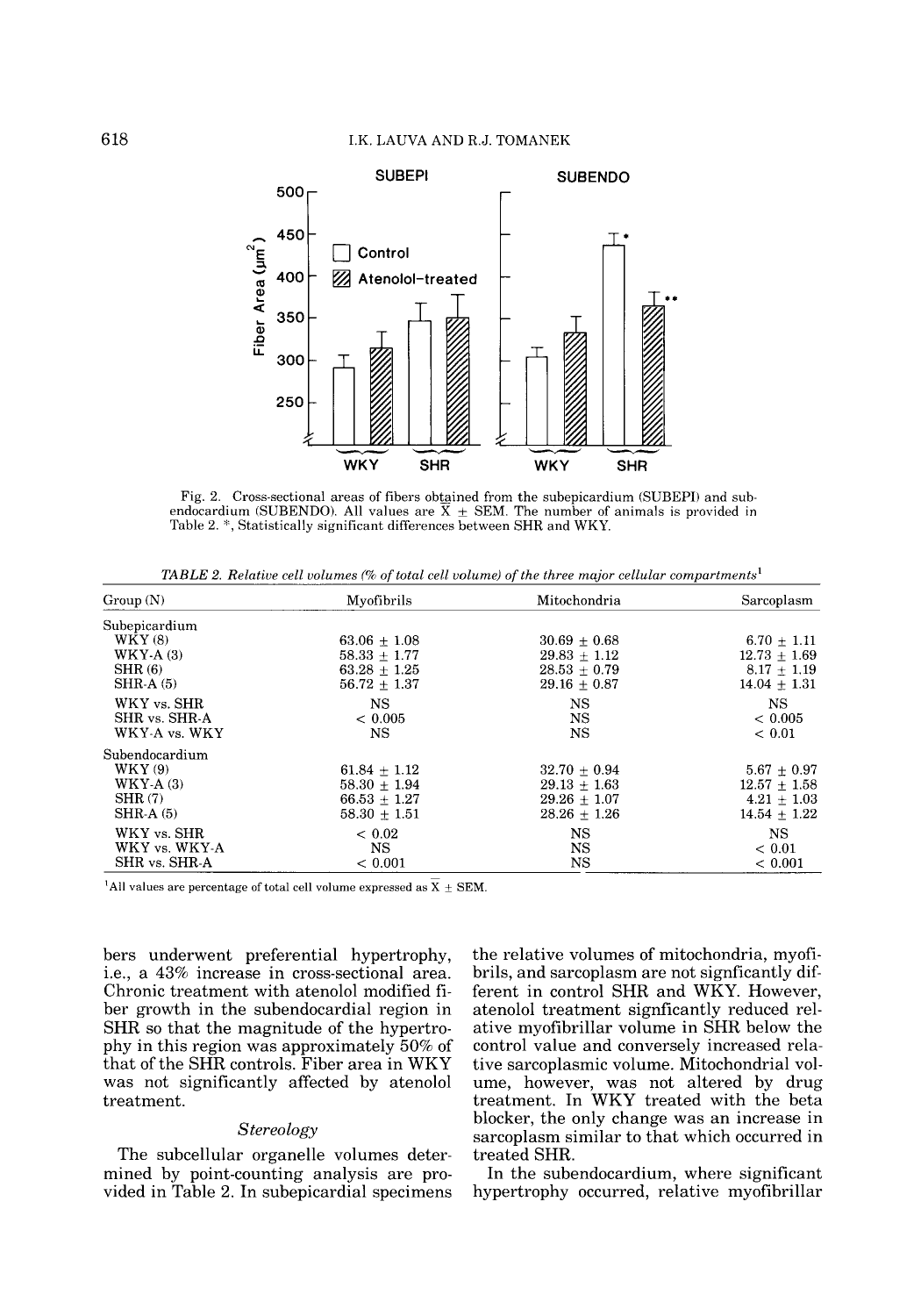

Fig. 2. Cross-sectional areas of fibers obtained from the subepicardium (SUBEPI) and subendocardium (SUBENDO). All values are  $\overline{X} \pm$  SEM. The number of animals is provided in Table 2. *4',* Statistically significant differences between SHR and WKY.

*TABLE 2. Relative cell volumes (% of total cell volume) of the three major cellular compartments<sup>1</sup>* 

| Group(N)                                                       | Myofibrils                                                           | Mitochondria                                                           | Sarcoplasm                                                         |
|----------------------------------------------------------------|----------------------------------------------------------------------|------------------------------------------------------------------------|--------------------------------------------------------------------|
| Subepicardium<br>WKY(8)<br>$WKY-A(3)$<br>SHR(6)                | $63.06 + 1.08$<br>$58.33 + 1.77$<br>$63.28 + 1.25$                   | $30.69 + 0.68$<br>$29.83 \pm 1.12$<br>$28.53 \pm 0.79$                 | $6.70 \pm 1.11$<br>$12.73 + 1.69$<br>$8.17 + 1.19$                 |
| $SHR-A(5)$<br>WKY vs. SHR<br>SHR vs. SHR-A<br>WKY-A vs. WKY    | $56.72 + 1.37$<br>NS<br>${}< 0.005$<br>NS                            | $29.16 + 0.87$<br>NS.<br><b>NS</b><br><b>NS</b>                        | $14.04 + 1.31$<br>NS.<br>< 0.005<br>${}< 0.01$                     |
| Subendocardium<br>WKY(9)<br>$WKY-A(3)$<br>SHR(7)<br>$SHR-A(5)$ | $61.84 + 1.12$<br>$58.30 + 1.94$<br>$66.53 + 1.27$<br>$58.30 + 1.51$ | $32.70 + 0.94$<br>$29.13 + 1.63$<br>$29.26 \pm 1.07$<br>$28.26 + 1.26$ | $5.67 + 0.97$<br>$12.57 + 1.58$<br>$4.21 + 1.03$<br>$14.54 + 1.22$ |
| WKY vs. SHR<br>WKY vs. WKY-A<br>SHR vs. SHR A                  | ${}< 0.02$<br><b>NS</b><br>< 0.001                                   | NS<br><b>NS</b><br><b>NS</b>                                           | NS<br>${}< 0.01$<br>${}< 0.001$                                    |

<sup>1</sup>All values are percentage of total cell volume expressed as  $\overline{\text{X}}$  + SEM.

bers underwent preferential hypertrophy, i.e., a **43%** increase in cross-sectional area. Chronic treatment with atenolol modified fiber growth in the subendocardial region in SHR so that the magnitude of the hypertrophy in this region was approximately 50% of that of the SHR controls. Fiber area in WKY was not significantly affected by atenolol treatment.

# *Stereology*

The subcellular organelle volumes determined by point-counting analysis are provided in Table 2. In subepicardial specimens the relative volumes of mitochondria, myofibrils, and sarcoplasm are not signficantly different in control SHR and WKY. However, atenolol treatment signficantly reduced relative myofibrillar volume in SHR below the control value and conversely increased relative sarcoplasmic volume. Mitochondria1 volume, however, was not altered by drug treatment. In WKY treated with the beta blocker, the only change was an increase in sarcoplasm similar to that which occurred in treated SHR.

In the subendocardium, where significant hypertrophy occurred, relative myofibrillar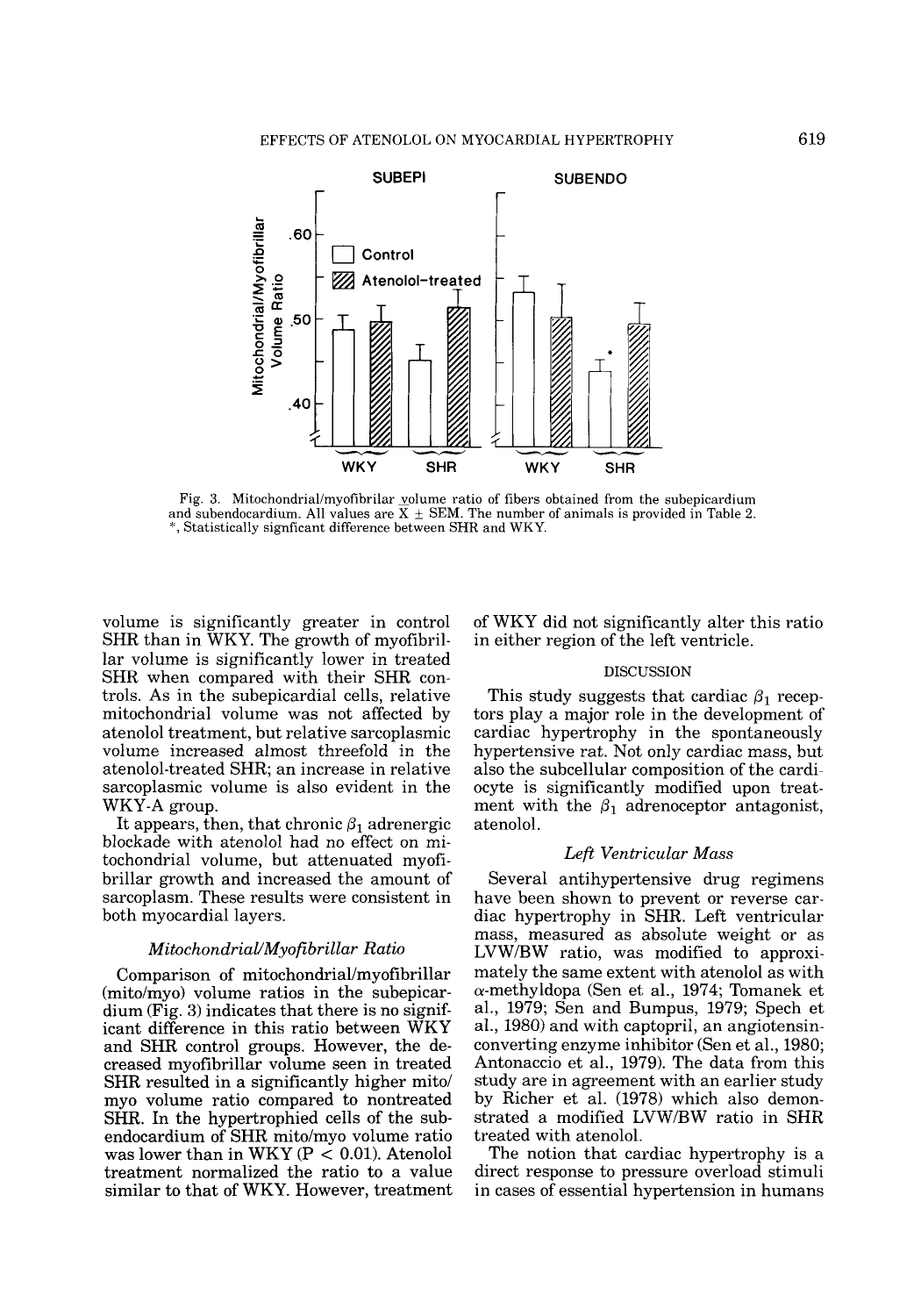

Fig. 3. Mitochondrial/myofibrilar volume ratio of fibers obtained from the subepicardium and subendocardium. All values are  $\overline{X} \pm \text{SEM}$ . The number of animals is provided in Table 2. ", Statistically signficant difference between SHR and WKY.

volume is significantly greater in control SHR than in WKY. The growth of myofibrillar volume is significantly lower in treated SHR when compared with their SHR controls. As in the subepicardial cells, relative mitochondria1 volume was not affected by atenolol treatment, but relative sarcoplasmic volume increased almost threefold in the atenolol-treated SHR; an increase in relative sarcoplasmic volume is also evident in the WKY-A group.

It appears, then, that chronic  $\beta_1$  adrenergic blockade with atenolol had no effect on mitochondrial volume, but attenuated myofibrillar growth and increased the amount of sarcoplasm. These results were consistent in both myocardial layers.

## *MitochondriaUMyoftbrillar Ratio*

Comparison of **mitochondrial/myofibrillar**  (mito/myo) volume ratios in the subepicardium (Fig. **3)** indicates that there is no significant difference in this ratio between WKY and SHR control groups. However, the decreased myofibrillar volume seen in treated SHR resulted in a significantly higher mito/ my0 volume ratio compared to nontreated SHR. In the hypertrophied cells of the subendocardium of SHR mito/myo volume ratio was lower than in WKY ( $P < 0.01$ ). Atenolol treatment normalized the ratio to a value similar to that of WKY. However, treatment of WKY did not significantly alter this ratio in either region of the left ventricle.

# DISCUSSION

This study suggests that cardiac  $\beta_1$  receptors play a major role in the development of cardiac hypertrophy in the spontaneously hypertensive rat. Not only cardiac mass, but also the subcellular composition of the cardiocyte is significantly modified upon treatment with the  $\beta_1$  adrenoceptor antagonist, atenolol.

# *Left Ventricular Mass*

Several antihypertensive drug regimens have been shown to prevent or reverse cardiac hypertrophy in SHR. Left ventricular mass, measured as absolute weight or as LVWBW ratio, was modified to approximately the same extent with atenolol as with  $\alpha$ -methyldopa (Sen et al., 1974; Tomanek et al., 1979; Sen and Bumpus, 1979; Spech et al., 1980) and with captopril, an angiotensinconverting enzyme inhibitor (Sen et al., 1980; Antonaccio et al., 1979). The data from this study are in agreement with an earlier study by Richer et al. (1978) which also demonstrated a modified LVW/BW ratio in SHR treated with atenolol.

The notion that cardiac hypertrophy is a direct response to pressure overload stimuli in cases of essential hypertension in humans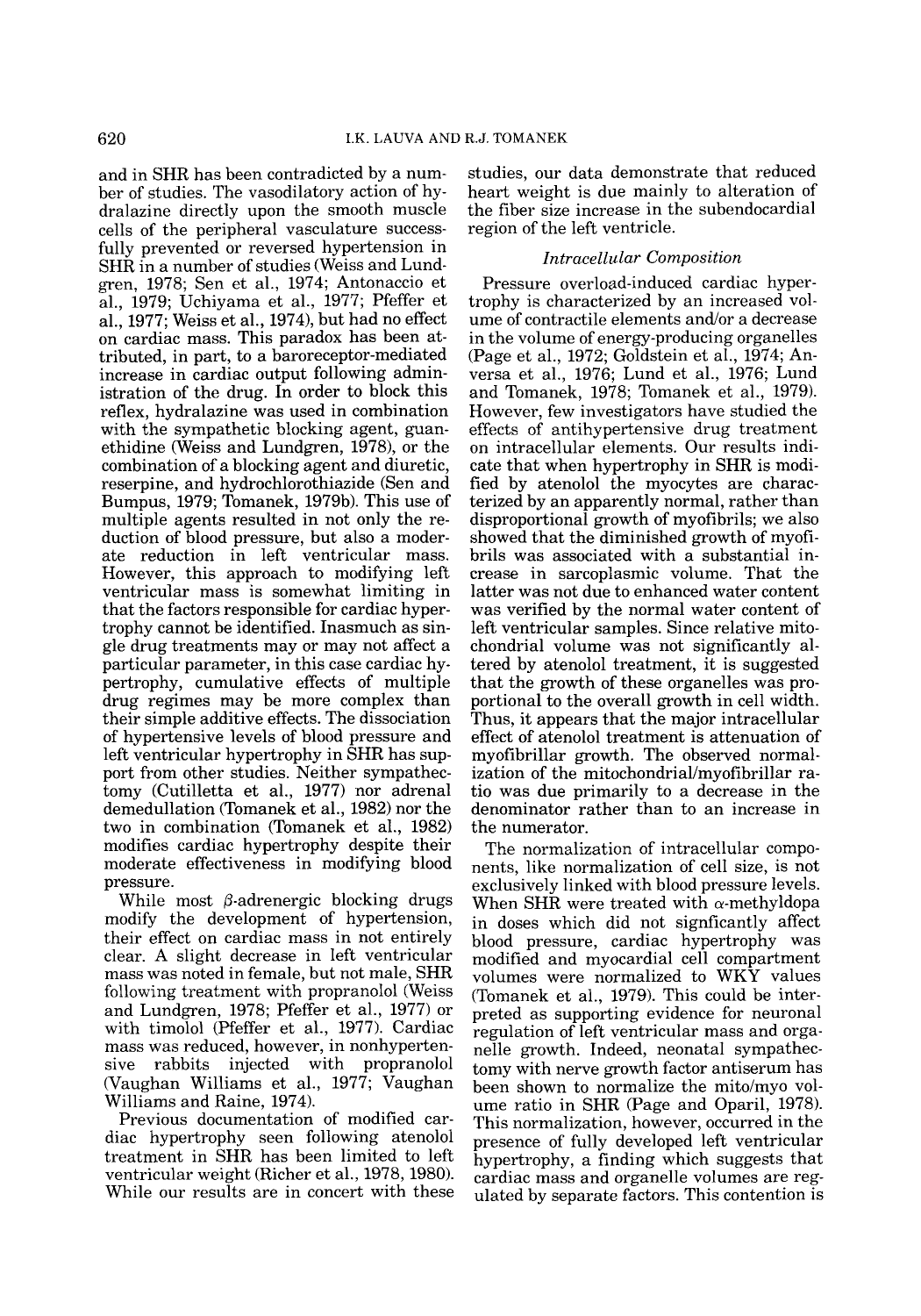and in SHR has been contradicted by a number of studies. The vasodilatory action of hydralazine directly upon the smooth muscle cells of the peripheral vasculature successfully prevented or reversed hypertension in SHR in a number of studies (Weiss and Lundgren, 1978; Sen et al., 1974; Antonaccio et al., 1979; Uchiyama et al., 1977; Pfeffer et al., 1977; Weiss et al., 1974), but had no effect on cardiac mass. This paradox has been attributed, in part, to a baroreceptor-mediated increase in cardiac output following administration of the drug. In order to block this reflex, hydralazine was used in combination with the sympathetic blocking agent, guanethidine (Weiss and Lundgren,  $1978$ ), or the combination of a blocking agent and diuretic, reserpine, and hydrochlorothiazide (Sen and Bumpus, 1979; Tomanek, 1979b). This use of multiple agents resulted in not only the reduction of blood pressure, but also a moderate reduction in left ventricular mass. However, this approach to modifying left ventricular mass is somewhat limiting in that the factors responsible for cardiac hypertrophy cannot be identified. Inasmuch as single drug treatments may or may not affect a particular parameter, in this case cardiac hypertrophy, cumulative effects of multiple drug regimes may be more complex than their simple additive effects. The dissociation of hypertensive levels of blood pressure and left ventricular hypertrophy in SHR has support from other studies. Neither sympathectomy (Cutilletta et al., 1977) nor adrenal demedullation (Tomanek et al., 1982) nor the two in combination (Tomanek et al., 1982) modifies cardiac hypertrophy despite their moderate effectiveness in modifying blood pressure.

While most  $\beta$ -adrenergic blocking drugs modify the development of hypertension, their effect on cardiac mass in not entirely clear. **A** slight decrease in left ventricular mass was noted in female, but not male, SHR following treatment with propranolol (Weiss and Lundgren, 1978; Pfeffer et al., 1977) or with timolol (Pfeffer et al., 1977). Cardiac mass was reduced, however, in nonhypertensive rabbits injected with propranolol (Vaughan Williams et al., 1977; Vaughan Williams and Raine, 1974).

Previous documentation of modified cardiac hypertrophy seen following atenolol treatment in SHR has been limited to left ventricular weight (Richer et al., 1978,1980). While our results are in concert with these

studies, our data demonstrate that reduced heart weight is due mainly to alteration of the fiber size increase in the subendocardial region of the left ventricle.

# *Intracellular Composition*

Pressure overload-induced cardiac hypertrophy is characterized by an increased volume of contractile elements and/or a decrease in the volume of energy-producing organelles (Page et al., 1972; Goldstein et al., 1974; Anversa et al., 1976; Lund et al., 1976; Lund and Tomanek, 1978; Tomanek et al., 1979). However, few investigators have studied the effects of antihypertensive drug treatment on intracellular elements. Our results indicate that when hypertrophy in SHR is modified by atenolol the myocytes are characterized by an apparently normal, rather than disproportional growth of myofibrils; we also showed that the diminished growth of myofibrils was associated with a substantial increase in sarcoplasmic volume. That the latter was not due to enhanced water content was verified by the normal water content of left ventricular samples. Since relative mitochondrial volume was not significantly altered by atenolol treatment, it is suggested that the growth of these organelles was proportional to the overall growth in cell width. Thus, it appears that the major intracellular effect of atenolol treatment is attenuation of myofibrillar growth. The observed normalization of the **mitochondriallmyofibrillar** ratio was due primarily to a decrease in the denominator rather than to an increase in the numerator.

The normalization of intracellular components, like normalization of cell size, is not exclusively linked with blood pressure levels. When SHR were treated with  $\alpha$ -methyldopa in doses which did not signficantly affect blood pressure, cardiac hypertrophy was modified and myocardial cell compartment volumes were normalized to WKY values (Tomanek et al., 1979). This could be interpreted as supporting evidence for neuronal regulation of left ventricular mass and organelle growth. Indeed, neonatal sympathectomy with nerve growth factor antiserum has been shown to normalize the mito/myo volume ratio in SHR (Page and Oparil, 1978). This normalization, however, occurred in the presence of fully developed left ventricular hypertrophy, a finding which suggests that cardiac mass and organelle volumes are regulated by separate factors. This contention is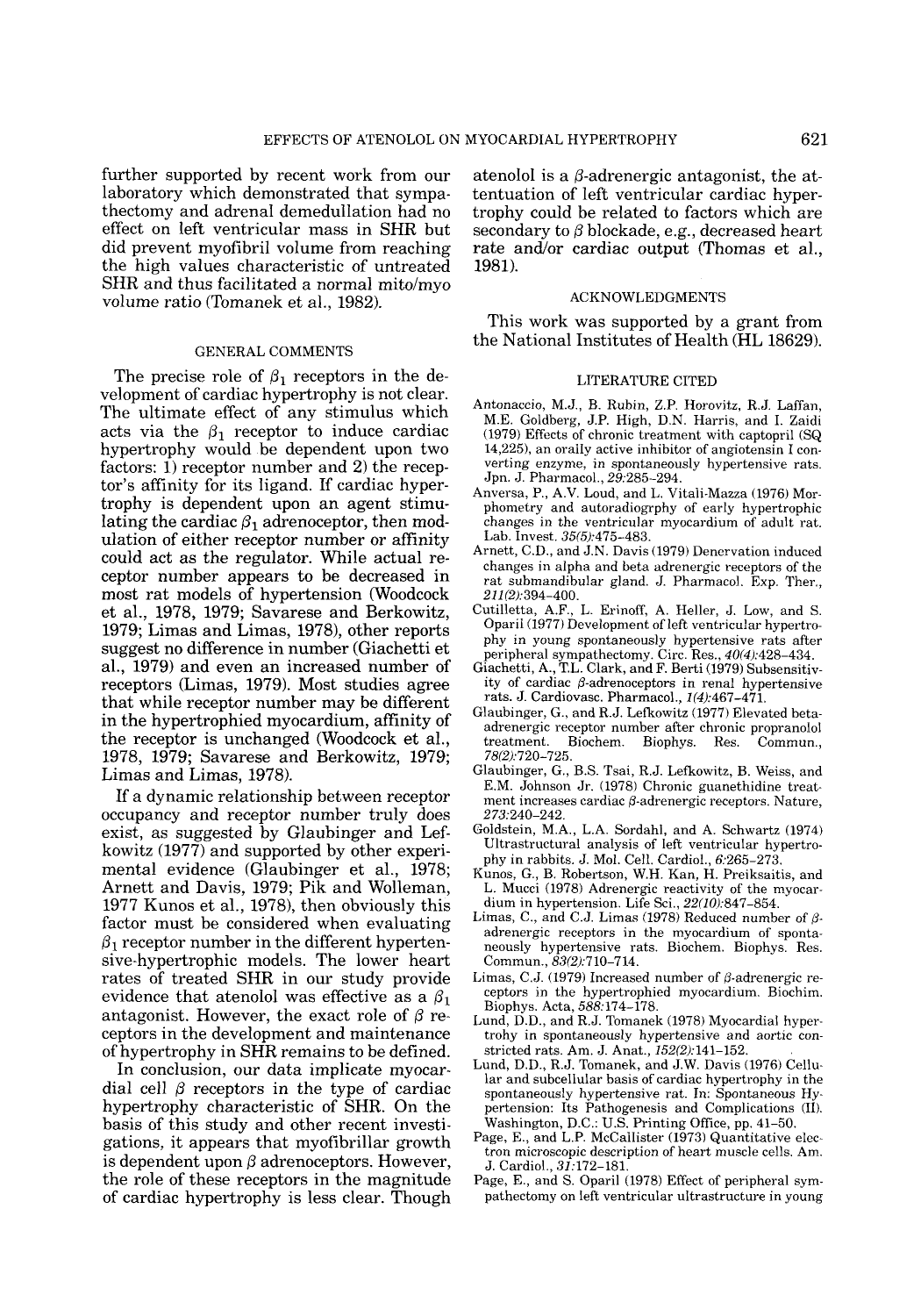further supported by recent work from our laboratory which demonstrated that sympathectomy and adrenal demedullation had no effect on left ventricular mass in SHR but did prevent myofibril volume from reaching the high values characteristic of untreated SHR and thus facilitated a normal mito/myo volume ratio (Tomanek et al., 1982).

#### GENERAL COMMENTS

The precise role of  $\beta_1$  receptors in the development of cardiac hypertrophy is not clear. The ultimate effect of any stimulus which acts via the  $\beta_1$  receptor to induce cardiac hypertrophy would be dependent upon two factors: 1) receptor number and 2) the receptor's affinity for its ligand. If cardiac hypertrophy is dependent upon an agent stimulating the cardiac  $\beta_1$  adrenoceptor, then modulation of either receptor number or affinity could act as the regulator. While actual receptor number appears to be decreased in most rat models of hypertension (Woodcock et al., 1978, 1979; Savarese and Berkowitz, 1979; Limas and Limas, 1978), other reports suggest no difference in number (Giachetti et al., 1979) and even an increased number of receptors (Limas, 1979). Most studies agree that while receptor number may be different in the hypertrophied myocardium, affinity of the receptor is unchanged (Woodcock et al., 1978, 1979; Savarese and Berkowitz, 1979; Limas and Limas, 1978).

If a dynamic relationship between receptor occupancy and receptor number truly does exist, as suggested by Glaubinger and Lefkowitz (1977) and supported by other experimental evidence (Glaubinger et al., 1978; Arnett and Davis, 1979; Pik and Wolleman, 1977 Kunos et al., 1978), then obviously this factor must be considered when evaluating  $\beta_1$  receptor number in the different hypertensive-hypertrophic models. The lower heart rates of treated SHR in our study provide evidence that atenolol was effective as a  $\beta_1$ antagonist. However, the exact role of *6* receptors in the development and maintenance of hypertrophy in SHR remains to be defined.

In conclusion, our data implicate myocardial cell  $\beta$  receptors in the type of cardiac hypertrophy characteristic of SHR. On the basis of this study and other recent investigations, it appears that myofibrillar growth is dependent upon  $\beta$  adrenoceptors. However, the role of these receptors in the magnitude of cardiac hypertrophy is less clear. Though atenolol is a  $\beta$ -adrenergic antagonist, the attentuation of left ventricular cardiac hypertrophy could be related to factors which are secondary to  $\beta$  blockade, e.g., decreased heart rate and/or cardiac output (Thomas et al., 1981).

#### ACKNOWLEDGMENTS

This work was supported by a grant from the National Institutes of Health (HL 18629).

# LITERATURE CITED

- Antonaccio, M.J., B. Rubin, Z.P. Horovitz, R.J. Laffan, M.E. Goldberg, J.P. High, D.N. Harris, and I. Zaidi (1979) Effects of chronic treatment with captopril (SQ 14,225), an orally active inhibitor of angiotensin I con- verting enzyme, in spontaneously hypertensive rats. Jpn. J. Pharmacol., 29,285-294.
- Anversa, P., **A.V.** Loud, and L. Vitali-Mazza (1976) Morphonietry and autoradiogrphy of early hypertrophic changes in the ventricular myocardium of adult rat. Lab. Invest. 35(5):475-483.
- Arnett, C.D., and J.N. Davis (1979) Denervation induced changes in alpha and beta adrenergic receptors of the rat submandibular gland. J. Pharmacol. Exp. Ther., 211(2):394-400.
- Cutilletta, A.F., L. Erinoff, **A.** Heller, J. Low, and S. OpariI (1977) Development of left ventricular hypertrophy in young spontaneously hypertensive rats after
- peripheral sympathectomy. Circ. Res., 40(4):428-434. Giachetti, A., T.L. Clark, and F. Berti (1979) Subsensitivity of cardiac  $\beta$ -adrenoceptors in renal hypertensive rats. J. Cardiovasc. Pharmacol., 1(4):467-471.
- Glaubinger, G., and R.J. Lefkowitz (1977) Elevated betaadrenergic receptor number after chronic propranolol treatment. Biochem. Biophys. Res. 78/21:720-725.
- Glaubinger, G., B.S. Tsai, R.J. Lefkowitz, B. Weiss, and E.M. Johnson Jr. (1978) Chronic guanethidine treatment increases cardiac  $\beta$ -adrenergic receptors. Nature, 273,240-242.
- Goldstein, M.A., L.A. Sordahl, and A. Schwartz (1974) Ultrastructural analysis of left ventricular hypertrophy in rabbits. J. Mol. Cell. Cardiol., 6:265-273.
- Kunos, G., B. Robertson, W.H. Kan, H. Preiksaitis, and L. Mucci (1978) Adrenergic reactivity of the myocardium in hypertension. Life Sci., 22(10):847-854.
- Limas, C., and C.J. Limas (1978) Reduced number of *6*  adrenergic receptors in the myocardium of spontaneously hypertensive rats. Biochem. Biophys. Res. Commun.,  $83(2):710-714$ .
- Limas, C.J. (1979) Increased number of  $\beta$ -adrenergic receptors in the hypertrophied myocardium. Biochim. Biophys. Acta, 588:174-178.
- Lund, D.D., and R.J. Tomanek (1978) Myocardial hypertrohy in spontaneously hypertensive and aortic constricted rats. Am. J. Anat.,  $152(2):141-152$ .
- Lund, D.D., R.J. Tomanek, and J.W. Davis (1976) Cellular and subcellular basis of cardiac hypertrophy in the spontaneously hypertensive rat. In: Spontaneous Hypertension: Its Pathogenesis and Complications (11). Washington, D.C.: U.S. Printing Office, pp. 41-50.
- Page, E., and L.P. McCallister (1973) Quantitative electron microscopic description of heart muscle cells. Am. J. Cardiol.,  $3\overline{I}$ :172–181.
- Page, E., and S. Oparil (1978) Effect of peripheral sympathectomy on left ventricular ultrastructure in young